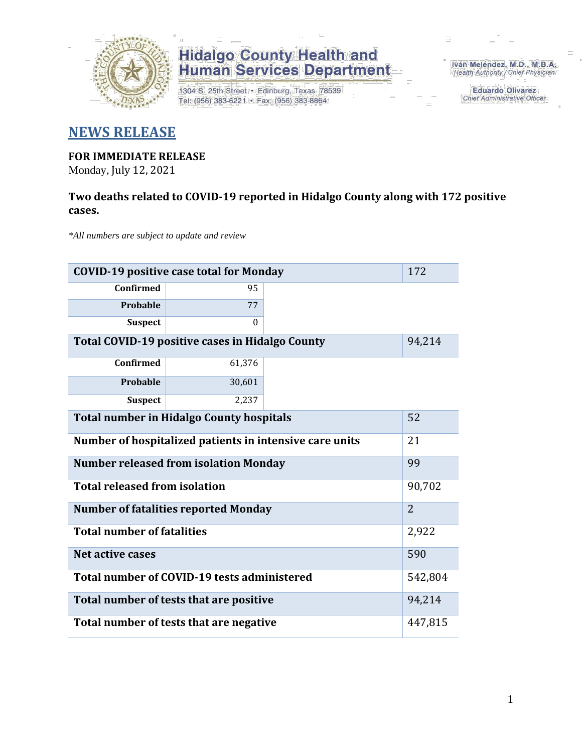

1304 S. 25th Street · Edinburg, Texas 78539 Tel: (956) 383-6221 · Fax: (956) 383-8864

Iván Meléndez, M.D., M.B.A. Health Authority / Chief Physician

> **Eduardo Olivarez** Chief Administrative Officer

#### **NEWS RELEASE**

### **FOR IMMEDIATE RELEASE**

Monday, July 12, 2021

#### **Two deaths related to COVID-19 reported in Hidalgo County along with 172 positive cases.**

*\*All numbers are subject to update and review*

| 172<br><b>COVID-19 positive case total for Monday</b>   |          |  |  |  |  |  |
|---------------------------------------------------------|----------|--|--|--|--|--|
| Confirmed                                               | 95       |  |  |  |  |  |
| Probable                                                | 77       |  |  |  |  |  |
| <b>Suspect</b>                                          | $\theta$ |  |  |  |  |  |
| Total COVID-19 positive cases in Hidalgo County         | 94,214   |  |  |  |  |  |
| <b>Confirmed</b>                                        | 61,376   |  |  |  |  |  |
| Probable                                                | 30,601   |  |  |  |  |  |
| <b>Suspect</b>                                          | 2,237    |  |  |  |  |  |
| <b>Total number in Hidalgo County hospitals</b>         |          |  |  |  |  |  |
| Number of hospitalized patients in intensive care units | 21       |  |  |  |  |  |
| <b>Number released from isolation Monday</b><br>99      |          |  |  |  |  |  |
| <b>Total released from isolation</b>                    |          |  |  |  |  |  |
| <b>Number of fatalities reported Monday</b>             |          |  |  |  |  |  |
| <b>Total number of fatalities</b>                       | 2,922    |  |  |  |  |  |
| Net active cases                                        | 590      |  |  |  |  |  |
| Total number of COVID-19 tests administered             |          |  |  |  |  |  |
| Total number of tests that are positive                 |          |  |  |  |  |  |
| Total number of tests that are negative                 |          |  |  |  |  |  |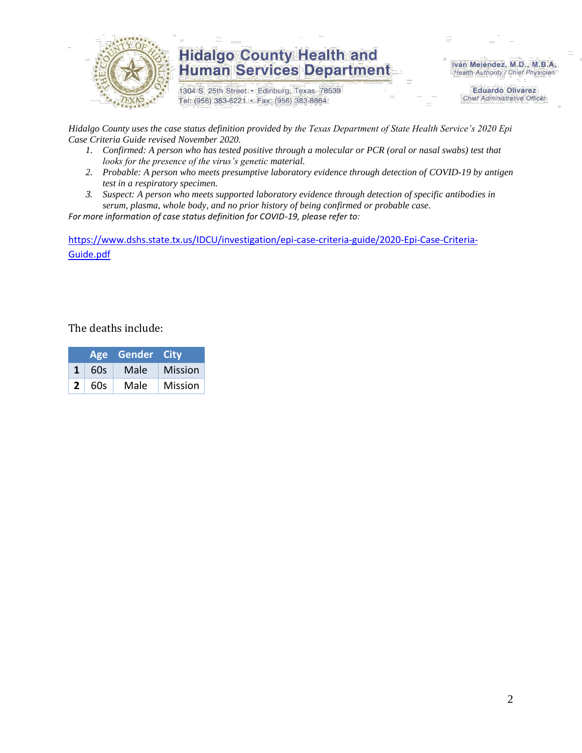

1304 S. 25th Street · Edinburg, Texas 78539 Tel: (956) 383-6221 · Fax: (956) 383-8864

Iván Meléndez, M.D., M.B.A. Health Authority / Chief Physician

> **Eduardo Olivarez Chief Administrative Officer**

*Hidalgo County uses the case status definition provided by the Texas Department of State Health Service's 2020 Epi Case Criteria Guide revised November 2020.*

- *1. Confirmed: A person who has tested positive through a molecular or PCR (oral or nasal swabs) test that looks for the presence of the virus's genetic material.*
- *2. Probable: A person who meets presumptive laboratory evidence through detection of COVID-19 by antigen test in a respiratory specimen.*
- *3. Suspect: A person who meets supported laboratory evidence through detection of specific antibodies in serum, plasma, whole body, and no prior history of being confirmed or probable case.*

*For more information of case status definition for COVID-19, please refer to:*

[https://www.dshs.state.tx.us/IDCU/investigation/epi-case-criteria-guide/2020-Epi-Case-Criteria-](https://www.dshs.state.tx.us/IDCU/investigation/epi-case-criteria-guide/2020-Epi-Case-Criteria-Guide.pdf)[Guide.pdf](https://www.dshs.state.tx.us/IDCU/investigation/epi-case-criteria-guide/2020-Epi-Case-Criteria-Guide.pdf)

The deaths include:

|              |     | Age Gender City |                |
|--------------|-----|-----------------|----------------|
| 1            | 60s | Male            | <b>Mission</b> |
| $\mathbf{2}$ | 60s | Male            | Mission        |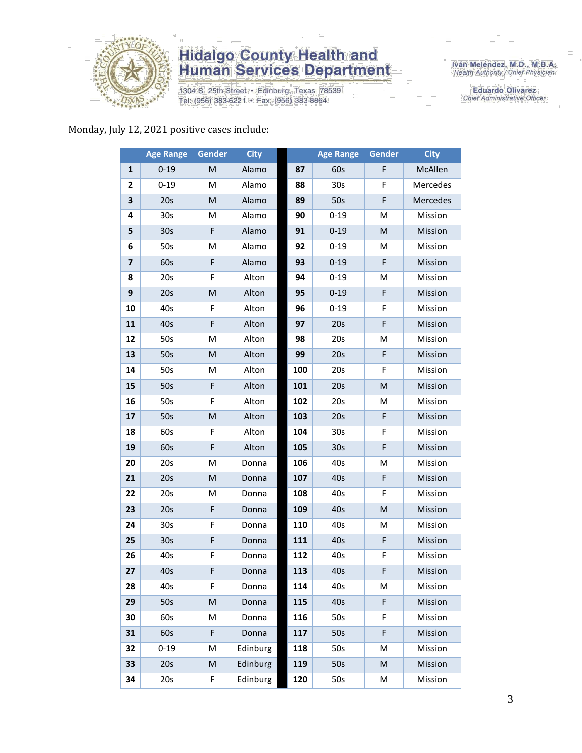

1304 S. 25th Street • Edinburg, Texas 78539<br>Tel: (956) 383-6221 • Fax: (956) 383-8864

Iván Meléndez, M.D., M.B.A.<br>Health Authority / Chief Physician

**Eduardo Olivarez** Chief Administrative Officer

#### Monday, July 12, 2021 positive cases include:

|    | <b>Age Range</b> | Gender | <b>City</b> |     | <b>Age Range</b> | <b>Gender</b>                                                                                              | <b>City</b> |
|----|------------------|--------|-------------|-----|------------------|------------------------------------------------------------------------------------------------------------|-------------|
| 1  | $0 - 19$         | M      | Alamo       | 87  | 60s              | F                                                                                                          | McAllen     |
| 2  | $0 - 19$         | M      | Alamo       | 88  | 30s              | F                                                                                                          | Mercedes    |
| 3  | 20s              | M      | Alamo       | 89  | 50s              | F                                                                                                          | Mercedes    |
| 4  | 30 <sub>s</sub>  | М      | Alamo       | 90  | $0 - 19$         | M                                                                                                          | Mission     |
| 5  | 30 <sub>s</sub>  | F      | Alamo       | 91  | $0 - 19$         | $\mathsf{M}% _{T}=\mathsf{M}_{T}\!\left( a,b\right) ,\ \mathsf{M}_{T}=\mathsf{M}_{T}\!\left( a,b\right) ,$ | Mission     |
| 6  | 50s              | M      | Alamo       | 92  | $0 - 19$         | M                                                                                                          | Mission     |
| 7  | 60s              | F      | Alamo       | 93  | $0 - 19$         | F                                                                                                          | Mission     |
| 8  | 20s              | F      | Alton       | 94  | $0 - 19$         | M                                                                                                          | Mission     |
| 9  | 20s              | M      | Alton       | 95  | $0 - 19$         | $\mathsf F$                                                                                                | Mission     |
| 10 | 40s              | F      | Alton       | 96  | $0 - 19$         | F                                                                                                          | Mission     |
| 11 | 40s              | F      | Alton       | 97  | 20s              | F                                                                                                          | Mission     |
| 12 | 50s              | M      | Alton       | 98  | 20s              | M                                                                                                          | Mission     |
| 13 | 50s              | M      | Alton       | 99  | 20s              | $\mathsf F$                                                                                                | Mission     |
| 14 | 50s              | Μ      | Alton       | 100 | 20s              | F                                                                                                          | Mission     |
| 15 | 50s              | F      | Alton       | 101 | 20s              | $\mathsf{M}% _{T}=\mathsf{M}_{T}\!\left( a,b\right) ,\ \mathsf{M}_{T}=\mathsf{M}_{T}\!\left( a,b\right) ,$ | Mission     |
| 16 | 50s              | F      | Alton       | 102 | 20s              | M                                                                                                          | Mission     |
| 17 | 50s              | M      | Alton       | 103 | 20s              | $\mathsf F$                                                                                                | Mission     |
| 18 | 60s              | F      | Alton       | 104 | 30 <sub>s</sub>  | F                                                                                                          | Mission     |
| 19 | 60s              | F      | Alton       | 105 | 30 <sub>s</sub>  | $\mathsf F$                                                                                                | Mission     |
| 20 | 20s              | M      | Donna       | 106 | 40s              | M                                                                                                          | Mission     |
| 21 | 20s              | M      | Donna       | 107 | 40s              | $\mathsf F$                                                                                                | Mission     |
| 22 | 20s              | M      | Donna       | 108 | 40s              | F                                                                                                          | Mission     |
| 23 | 20s              | F      | Donna       | 109 | 40s              | M                                                                                                          | Mission     |
| 24 | 30 <sub>s</sub>  | F      | Donna       | 110 | 40s              | M                                                                                                          | Mission     |
| 25 | 30 <sub>s</sub>  | F      | Donna       | 111 | 40s              | F                                                                                                          | Mission     |
| 26 | 40s              | F      | Donna       | 112 | 40s              | F                                                                                                          | Mission     |
| 27 | 40s              | F      | Donna       | 113 | 40s              | F                                                                                                          | Mission     |
| 28 | 40s              | F.     | Donna       | 114 | 40s              | М                                                                                                          | Mission     |
| 29 | 50s              | M      | Donna       | 115 | 40s              | $\mathsf F$                                                                                                | Mission     |
| 30 | 60s              | Μ      | Donna       | 116 | 50s              | F                                                                                                          | Mission     |
| 31 | 60s              | F      | Donna       | 117 | 50s              | $\mathsf F$                                                                                                | Mission     |
| 32 | $0 - 19$         | M      | Edinburg    | 118 | 50s              | M                                                                                                          | Mission     |
| 33 | 20s              | M      | Edinburg    | 119 | 50s              | $\mathsf{M}% _{T}=\mathsf{M}_{T}\!\left( a,b\right) ,\ \mathsf{M}_{T}=\mathsf{M}_{T}\!\left( a,b\right) ,$ | Mission     |
| 34 | 20s              | F      | Edinburg    | 120 | 50s              | M                                                                                                          | Mission     |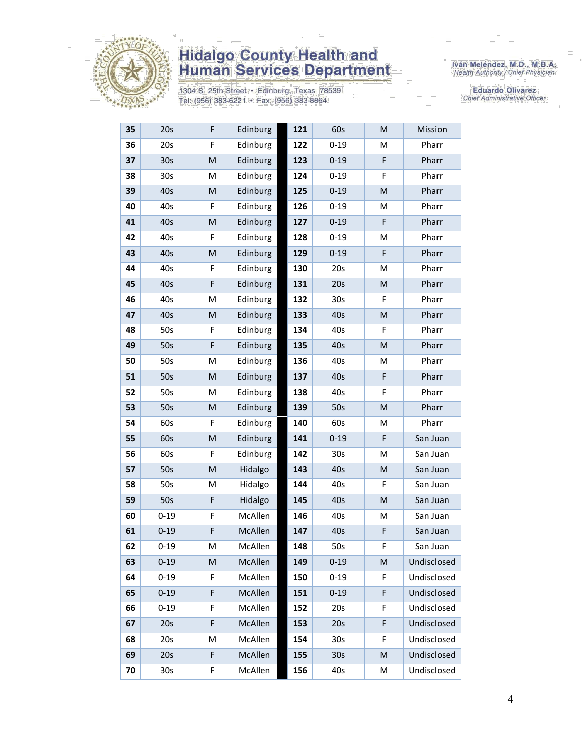

1304 S. 25th Street • Edinburg, Texas 78539<br>Tel: (956) 383-6221 • Fax: (956) 383-8864

Iván Meléndez, M.D., M.B.A.<br>Health Authority / Chief Physician

**Eduardo Olivarez** Chief Administrative Officer

| 35 | 20s             | F         | Edinburg | 121 | 60s             | ${\sf M}$                                                                                                  | Mission     |
|----|-----------------|-----------|----------|-----|-----------------|------------------------------------------------------------------------------------------------------------|-------------|
| 36 | 20s             | F         | Edinburg | 122 | $0 - 19$        | M                                                                                                          | Pharr       |
| 37 | 30 <sub>s</sub> | M         | Edinburg | 123 | $0 - 19$        | F                                                                                                          | Pharr       |
| 38 | 30 <sub>s</sub> | M         | Edinburg | 124 | $0 - 19$        | F                                                                                                          | Pharr       |
| 39 | 40s             | M         | Edinburg | 125 | $0 - 19$        | ${\sf M}$                                                                                                  | Pharr       |
| 40 | 40s             | F         | Edinburg | 126 | $0 - 19$        | M                                                                                                          | Pharr       |
| 41 | 40s             | M         | Edinburg | 127 | $0 - 19$        | F                                                                                                          | Pharr       |
| 42 | 40s             | F         | Edinburg | 128 | $0 - 19$        | M                                                                                                          | Pharr       |
| 43 | 40s             | M         | Edinburg | 129 | $0 - 19$        | F                                                                                                          | Pharr       |
| 44 | 40s             | F         | Edinburg | 130 | 20s             | M                                                                                                          | Pharr       |
| 45 | 40s             | F         | Edinburg | 131 | 20s             | M                                                                                                          | Pharr       |
| 46 | 40s             | M         | Edinburg | 132 | 30s             | F                                                                                                          | Pharr       |
| 47 | 40s             | M         | Edinburg | 133 | 40s             | ${\sf M}$                                                                                                  | Pharr       |
| 48 | 50s             | F         | Edinburg | 134 | 40s             | F                                                                                                          | Pharr       |
| 49 | 50s             | F         | Edinburg | 135 | 40s             | M                                                                                                          | Pharr       |
| 50 | 50s             | M         | Edinburg | 136 | 40s             | M                                                                                                          | Pharr       |
| 51 | 50s             | M         | Edinburg | 137 | 40s             | F                                                                                                          | Pharr       |
| 52 | 50s             | M         | Edinburg | 138 | 40s             | F                                                                                                          | Pharr       |
| 53 | 50s             | ${\sf M}$ | Edinburg | 139 | 50s             | $\mathsf{M}% _{T}=\mathsf{M}_{T}\!\left( a,b\right) ,\ \mathsf{M}_{T}=\mathsf{M}_{T}\!\left( a,b\right) ,$ | Pharr       |
| 54 | 60s             | F         | Edinburg | 140 | 60s             | M                                                                                                          | Pharr       |
| 55 | 60s             | M         | Edinburg | 141 | $0 - 19$        | F                                                                                                          | San Juan    |
| 56 | 60s             | F         | Edinburg | 142 | 30s             | M                                                                                                          | San Juan    |
| 57 | 50s             | M         | Hidalgo  | 143 | 40s             | ${\sf M}$                                                                                                  | San Juan    |
| 58 | 50s             | M         | Hidalgo  | 144 | 40s             | F                                                                                                          | San Juan    |
| 59 | 50s             | F         | Hidalgo  | 145 | 40s             | ${\sf M}$                                                                                                  | San Juan    |
| 60 | $0 - 19$        | F         | McAllen  | 146 | 40s             | M                                                                                                          | San Juan    |
| 61 | $0 - 19$        | F         | McAllen  | 147 | 40s             | F                                                                                                          | San Juan    |
| 62 | $0 - 19$        | M         | McAllen  | 148 | 50s             | F                                                                                                          | San Juan    |
| 63 | $0 - 19$        | M         | McAllen  | 149 | $0 - 19$        | M                                                                                                          | Undisclosed |
| 64 | $0 - 19$        | F         | McAllen  | 150 | $0 - 19$        | F                                                                                                          | Undisclosed |
| 65 | $0 - 19$        | F         | McAllen  | 151 | $0 - 19$        | F                                                                                                          | Undisclosed |
| 66 | $0 - 19$        | F         | McAllen  | 152 | 20s             | F                                                                                                          | Undisclosed |
| 67 | 20s             | F         | McAllen  | 153 | 20s             | F                                                                                                          | Undisclosed |
| 68 | 20s             | M         | McAllen  | 154 | 30s             | F                                                                                                          | Undisclosed |
| 69 | 20s             | F         | McAllen  | 155 | 30 <sub>s</sub> | M                                                                                                          | Undisclosed |
| 70 | 30 <sub>s</sub> | F         | McAllen  | 156 | 40s             | M                                                                                                          | Undisclosed |